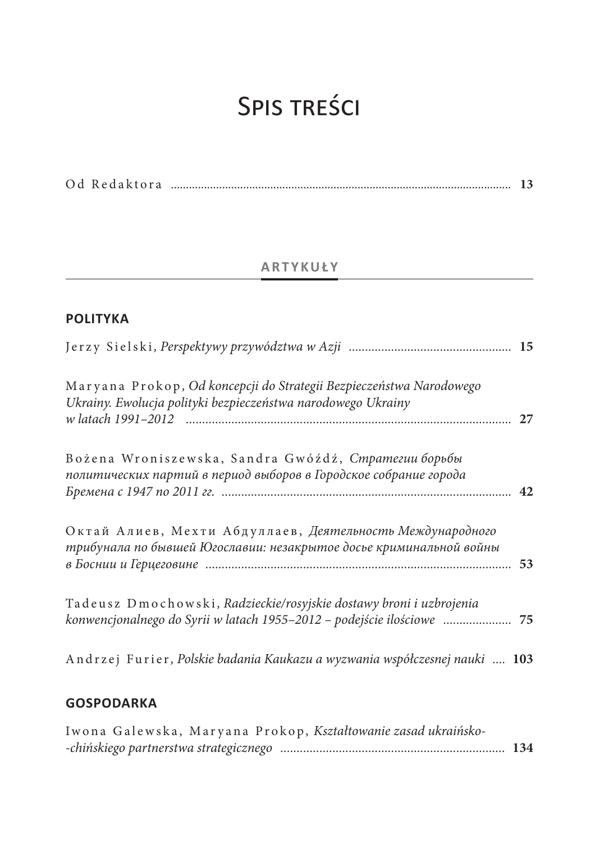# Spis treści

|--|--|--|--|--|

## **ARTYKUŁY**

## **POLITYKA**

| Maryana Prokop, Od koncepcji do Strategii Bezpieczeństwa Narodowego<br>Ukrainy. Ewolucja polityki bezpieczeństwa narodowego Ukrainy       | 27 |
|-------------------------------------------------------------------------------------------------------------------------------------------|----|
| Bożena Wroniszewska, Sandra Gwóźdź, Cmpamezuu борьбы<br>политических партий в период выборов в Городское собрание города                  |    |
| Октай Алиев, Мехти Абдуллаев, Деятельность Международного<br>трибунала по бывшей Югославии: незакрытое досье криминальной войны           | 53 |
| Tadeusz Dmochowski, Radzieckie/rosyjskie dostawy broni i uzbrojenia<br>konwencjonalnego do Syrii w latach 1955–2012 – podejście ilościowe |    |
| Andrzej Furier, Polskie badania Kaukazu a wyzwania współczesnej nauki  103                                                                |    |

# **GOSPODARKA**

|  |  | Iwona Galewska, Maryana Prokop, Kształtowanie zasad ukraińsko- |  |  |
|--|--|----------------------------------------------------------------|--|--|
|  |  |                                                                |  |  |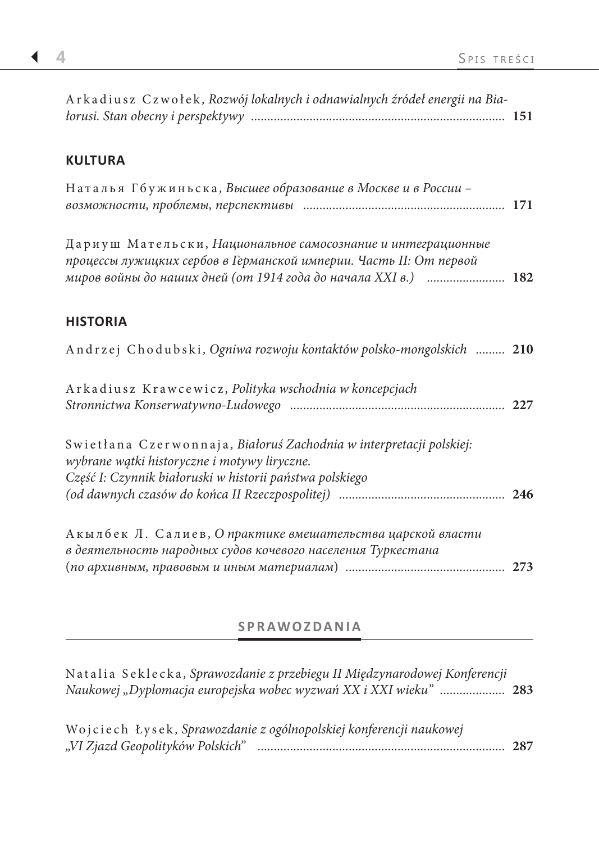## **KULTURA**

|  | Наталья Гбужиньска, Высшее образование в Москве и в России - |  |
|--|--------------------------------------------------------------|--|
|  |                                                              |  |

Дариуш Мательски *, Национальное самосознание и интеграционные процессы лужицких сербов в Германской империи. Часть II: От первой миров войны до наших дней (от 1914 года до начала XXI в.) ........................* **182**

### **HISTORIA**

| Andrzej Chodubski, Ogniwa rozwoju kontaktów polsko-mongolskich  210                                                                                                             |  |
|---------------------------------------------------------------------------------------------------------------------------------------------------------------------------------|--|
| Arkadiusz Krawcewicz, Polityka wschodnia w koncepcjach                                                                                                                          |  |
| Swietłana Czerwonnaja, Białoruś Zachodnia w interpretacji polskiej:<br>wybrane wątki historyczne i motywy liryczne.<br>Część I: Czynnik białoruski w historii państwa polskiego |  |
| Акылбек Л. Салиев, Опрактике вмешательства царской власти<br>в деятельность народных судов кочевого населения Туркестана                                                        |  |

### **SPRAWOZDANIA**

(*по архивным, правовым и иным материалам*) *.................................................* **273**

| Natalia Seklecka, Sprawozdanie z przebiegu II Międzynarodowej Konferencji<br>Naukowej "Dyplomacja europejska wobec wyzwań XX i XXI wieku"  283 |     |
|------------------------------------------------------------------------------------------------------------------------------------------------|-----|
| Wojciech Łysek, Sprawozdanie z ogólnopolskiej konferencji naukowej<br>"VI Zjazd Geopolityków Polskich"                                         | 287 |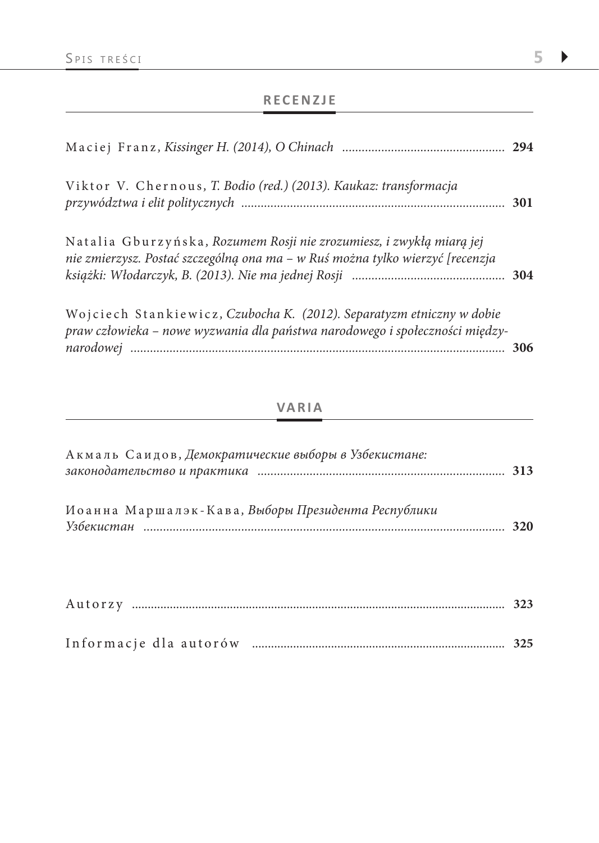## **RECENZJE**

| Viktor V. Chernous, T. Bodio (red.) (2013). Kaukaz: transformacja                                                                                     | 301 |
|-------------------------------------------------------------------------------------------------------------------------------------------------------|-----|
| Natalia Gburzyńska, Rozumem Rosji nie zrozumiesz, i zwykłą miarą jej<br>nie zmierzysz. Postać szczególną ona ma - w Ruś można tylko wierzyć [recenzja |     |
| Wojciech Stankiewicz, Czubocha K. (2012). Separatyzm etniczny w dobie<br>praw człowieka - nowe wyzwania dla państwa narodowego i społeczności między- | 306 |

## **VARIA**

| Акмаль Саидов, Демократические выборы в Узбекистане: | 313 |
|------------------------------------------------------|-----|
| Иоанна Маршалэк-Кава, Выборы Президента Республики   | 320 |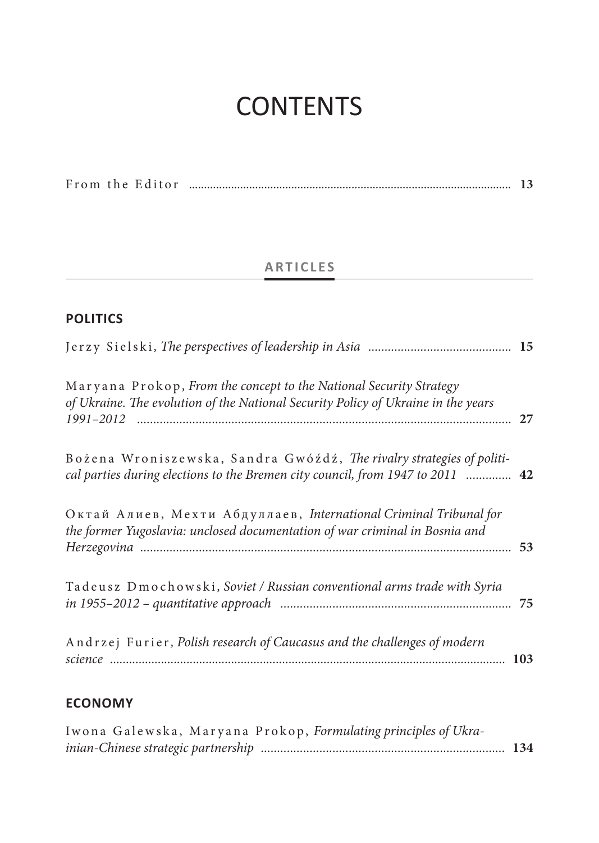# **CONTENTS**

|  |  | From the Editor |  |  |  |
|--|--|-----------------|--|--|--|
|--|--|-----------------|--|--|--|

# **ARTICLES**

## **POLITICS**

| Maryana Prokop, From the concept to the National Security Strategy<br>of Ukraine. The evolution of the National Security Policy of Ukraine in the years |  |
|---------------------------------------------------------------------------------------------------------------------------------------------------------|--|
| Bożena Wroniszewska, Sandra Gwóźdź, The rivalry strategies of politi-<br>cal parties during elections to the Bremen city council, from 1947 to 2011  42 |  |
| Октай Алиев, Мехти Абдуллаев, International Criminal Tribunal for<br>the former Yugoslavia: unclosed documentation of war criminal in Bosnia and        |  |
| Tadeusz Dmochowski, Soviet / Russian conventional arms trade with Syria                                                                                 |  |
| Andrzej Furier, Polish research of Caucasus and the challenges of modern                                                                                |  |

## **ECONOMY**

|  |  | Iwona Galewska, Maryana Prokop, Formulating principles of Ukra- |  |  |
|--|--|-----------------------------------------------------------------|--|--|
|  |  |                                                                 |  |  |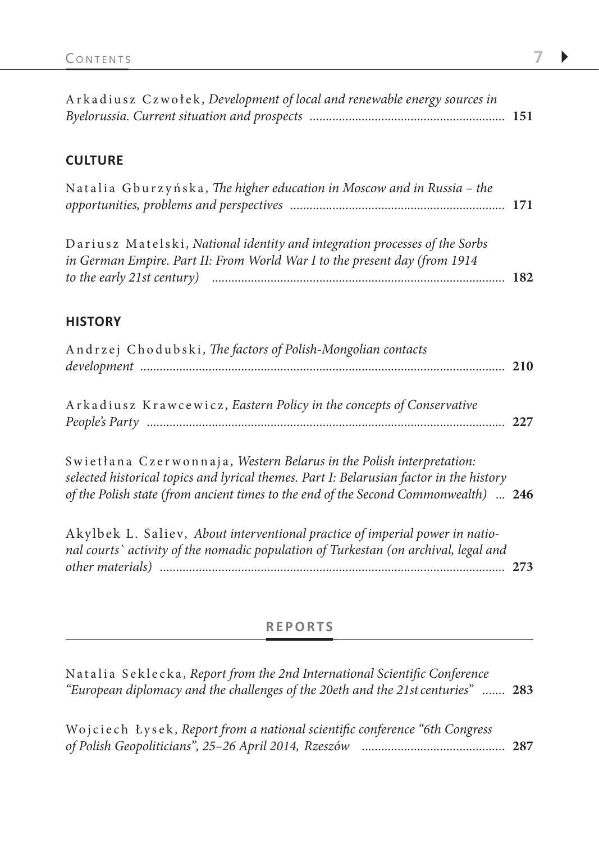| Arkadiusz Czwołek, Development of local and renewable energy sources in |  |
|-------------------------------------------------------------------------|--|
|                                                                         |  |

### **CULTURE**

| Natalia Gburzyńska, The higher education in Moscow and in Russia - the |  |
|------------------------------------------------------------------------|--|
|                                                                        |  |

Dariusz Matelski *, National identity and integration processes of the Sorbs in German Empire. Part II: From World War I to the present day (from 1914 to the early 21st century) ..........................................................................................* **182**

#### **HISTORY**

| Andrzej Chodubski, The factors of Polish-Mongolian contacts          |     |
|----------------------------------------------------------------------|-----|
| Arkadiusz Krawcewicz, Eastern Policy in the concepts of Conservative | 227 |

Swietłana Czerwonnaja *, Western Belarus in the Polish interpretation: selected historical topics and lyrical themes. Part I: Belarusian factor in the history of the Polish state (from ancient times to the end of the Second Commonwealth) ...* **246**

Akylbek L. Saliev*, About interventional practice of imperial power in national courts` activity of the nomadic population of Turkestan (on archival, legal and other materials) ..........................................................................................................* **273**

#### **REPORTS**

| Natalia Seklecka, Report from the 2nd International Scientific Conference        |     |
|----------------------------------------------------------------------------------|-----|
| "European diplomacy and the challenges of the 20eth and the 21st centuries"  283 |     |
|                                                                                  |     |
| Wojciech Łysek, Report from a national scientific conference "6th Congress       |     |
| of Polish Geopoliticians", 25-26 April 2014, Rzeszów                             | 287 |
|                                                                                  |     |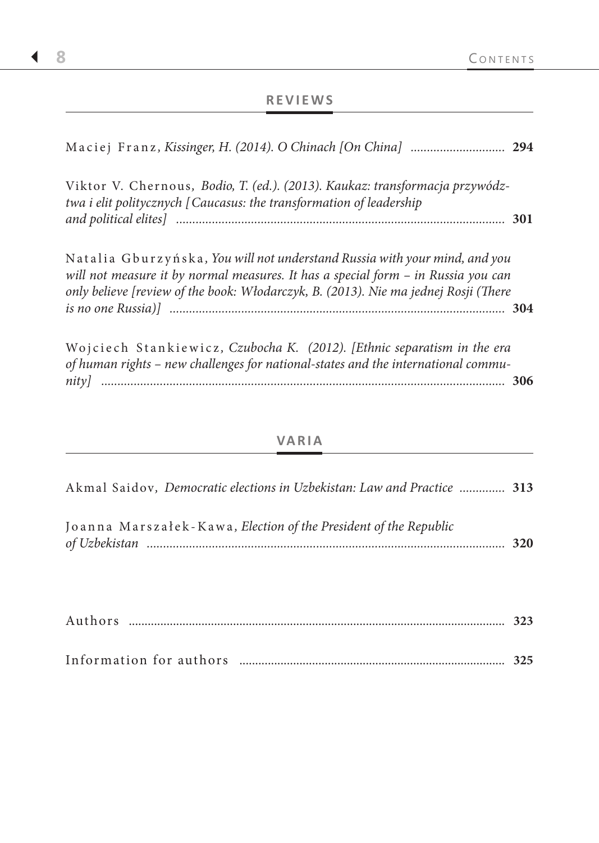## **REVIEWS**

| Maciej Franz, Kissinger, H. (2014). O Chinach [On China]  294                                                                                                                                                                                          |  |
|--------------------------------------------------------------------------------------------------------------------------------------------------------------------------------------------------------------------------------------------------------|--|
| Viktor V. Chernous, Bodio, T. (ed.). (2013). Kaukaz: transformacja przywódz-<br>twa i elit politycznych [Caucasus: the transformation of leadership                                                                                                    |  |
|                                                                                                                                                                                                                                                        |  |
| Natalia Gburzyńska, You will not understand Russia with your mind, and you<br>will not measure it by normal measures. It has a special form - in Russia you can<br>only believe [review of the book: Włodarczyk, B. (2013). Nie ma jednej Rosji (There |  |
|                                                                                                                                                                                                                                                        |  |
| Wojciech Stankiewicz, Czubocha K. (2012). [Ethnic separatism in the era                                                                                                                                                                                |  |

|  |  |  |  |  | of human rights – new challenges for national-states and the international commu- |  |
|--|--|--|--|--|-----------------------------------------------------------------------------------|--|
|  |  |  |  |  |                                                                                   |  |

## **VARIA**

| Akmal Saidov, Democratic elections in Uzbekistan: Law and Practice  313 |     |
|-------------------------------------------------------------------------|-----|
| Joanna Marszałek-Kawa, Election of the President of the Republic        | 320 |

| Authors |  |
|---------|--|
|         |  |

| Information for authors |  |  |
|-------------------------|--|--|
|-------------------------|--|--|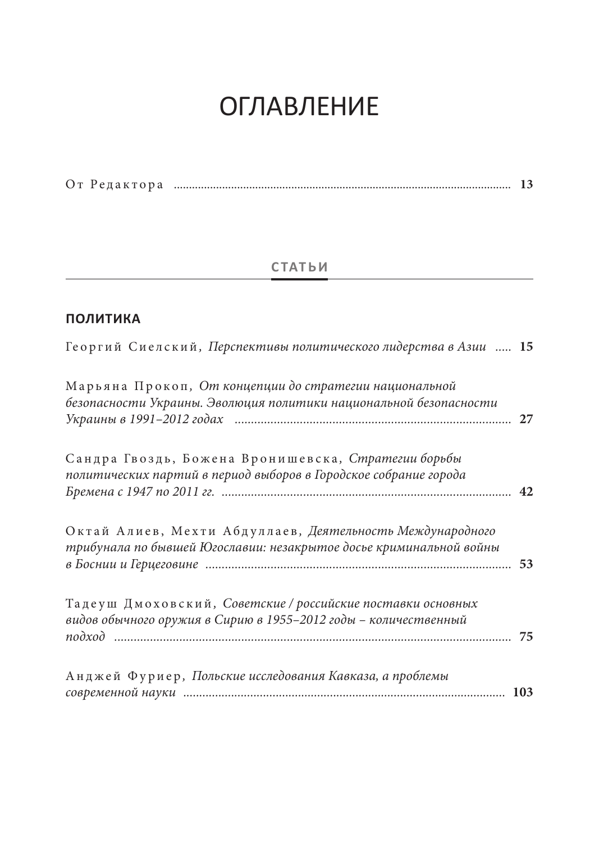# **ОГЛАВЛЕНИЕ**

|--|--|--|--|--|

## **СТАТЬИ**

## **ПОЛИТИКА**

| Георгий Сиелский, Перспективы политического лидерства в Азии  15                                                                |    |
|---------------------------------------------------------------------------------------------------------------------------------|----|
| Марьяна Прокоп, От концепции до стратегии национальной<br>безопасности Украины. Эволюция политики национальной безопасности     | 27 |
| Сандра Гвоздь, Божена Вронишевска, Стратегии борьбы<br>политических партий в период выборов в Городское собрание города         |    |
| Октай Алиев, Мехти Абдуллаев, Деятельность Международного<br>трибунала по бывшей Югославии: незакрытое досье криминальной войны |    |
| Тадеуш Дмоховский, Советские / российские поставки основных<br>видов обычного оружия в Сирию в 1955-2012 годы - количественный  |    |
| Анджей Фуриер, Польские исследования Кавказа, а проблемы                                                                        |    |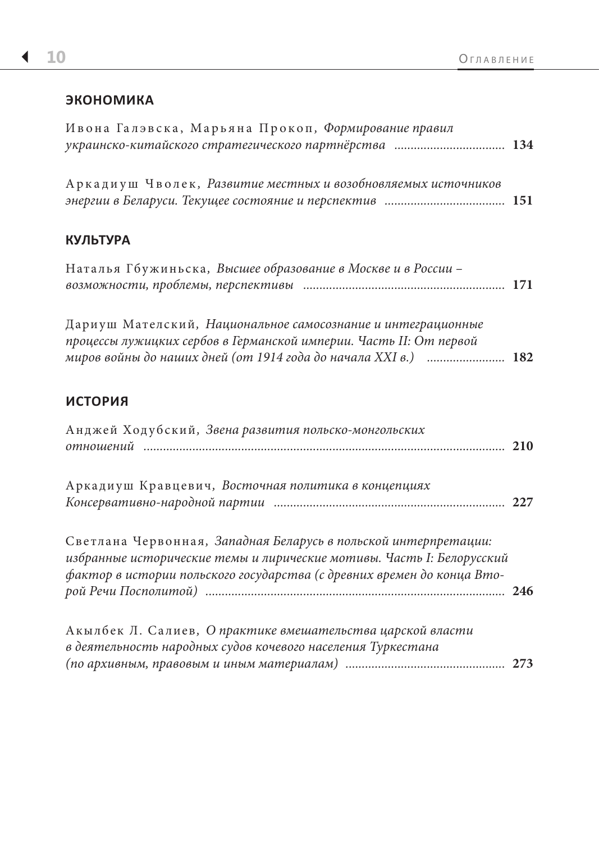### ЭКОНОМИКА

| Ивона Галэвска, Марьяна Прокоп, Формирование правил<br>украинско-китайского стратегического партнёрства  134                                                                                                       |  |
|--------------------------------------------------------------------------------------------------------------------------------------------------------------------------------------------------------------------|--|
| Аркадиуш Чволек, Развитие местных и возобновляемых источников                                                                                                                                                      |  |
| <b>КУЛЬТУРА</b>                                                                                                                                                                                                    |  |
| Наталья Гбужиньска, Высшее образование в Москве и в России -                                                                                                                                                       |  |
| Дариуш Мателский, Национальное самосознание и интеграционные<br>процессы лужицких сербов в Германской империи. Часть II: От первой<br>миров войны до наших дней (от 1914 года до начала XXI в.)  182               |  |
| ИСТОРИЯ                                                                                                                                                                                                            |  |
| Анджей Ходубский, Звена развития польско-монгольских                                                                                                                                                               |  |
| Аркадиуш Кравцевич, Восточная политика в концепциях                                                                                                                                                                |  |
| Светлана Червонная, Западная Беларусь в польской интерпретации:<br>избранные исторические темы и лирические мотивы. Часть І: Белорусский<br>фактор в истории польского государства (с древних времен до конца Вто- |  |
| Акылбек Л. Салиев, О практике вмешательства царской власти<br>в деятельность народных судов кочевого населения Туркестана                                                                                          |  |
|                                                                                                                                                                                                                    |  |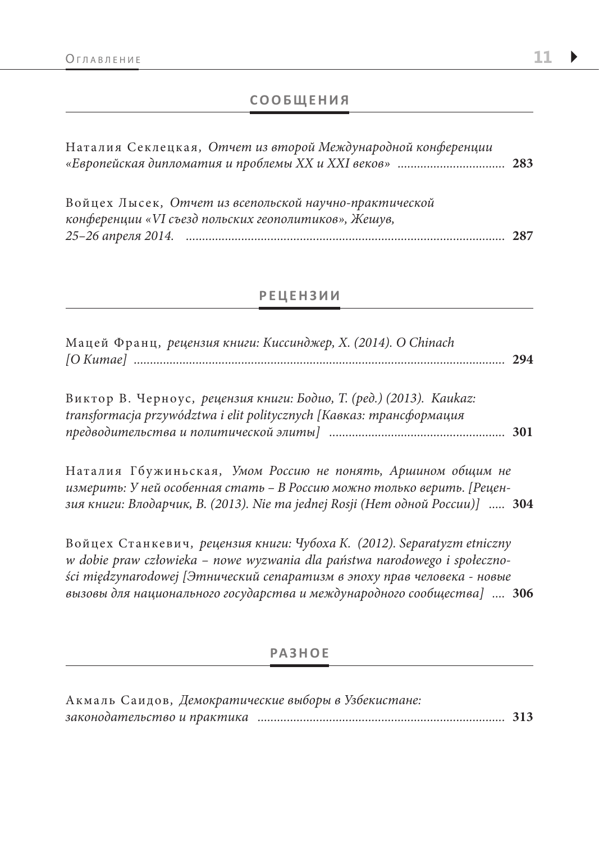### **СООБЩЕНИЯ**

| Наталия Секлецкая, Отчет из второй Международной конференции                                                   |     |
|----------------------------------------------------------------------------------------------------------------|-----|
| Войцех Лысек, Отчет из всепольской научно-практической<br>конференции «VI съезд польских геополитиков», Жешув, |     |
|                                                                                                                | 287 |

#### **РЕЦЕНЗИИ**

| Мацей Франц, рецензия книги: Киссинджер, X. (2014). О Chinach |  |
|---------------------------------------------------------------|--|
|                                                               |  |

Виктор В. Черноус, рецензия книги: Бодио, Т. (ред.) (2013). Kaukaz: transformacja przywództwa i elit politycznych [Кавказ: трансформация 

Наталия Гбужиньская, Умом Россию не понять, Аршином общим не измерить: У ней особенная стать - В Россию можно только верить. [Рецензия книги: Влодарчик, В. (2013). Nie ma jednej Rosji (Нет одной России)] ..... 304

Войцех Станкевич, рецензия книги: Чубоха К. (2012). Separatyzm etniczny w dobie praw człowieka - nowe wyzwania dla państwa narodowego i społeczności międzynarodowej [Этнический сепаратизм в эпоху прав человека - новые вызовы для национального государства и международного сообщества] .... 306

#### **PA3HOE**

| Акмаль Саидов, Демократические выборы в Узбекистане: |  |
|------------------------------------------------------|--|
|                                                      |  |